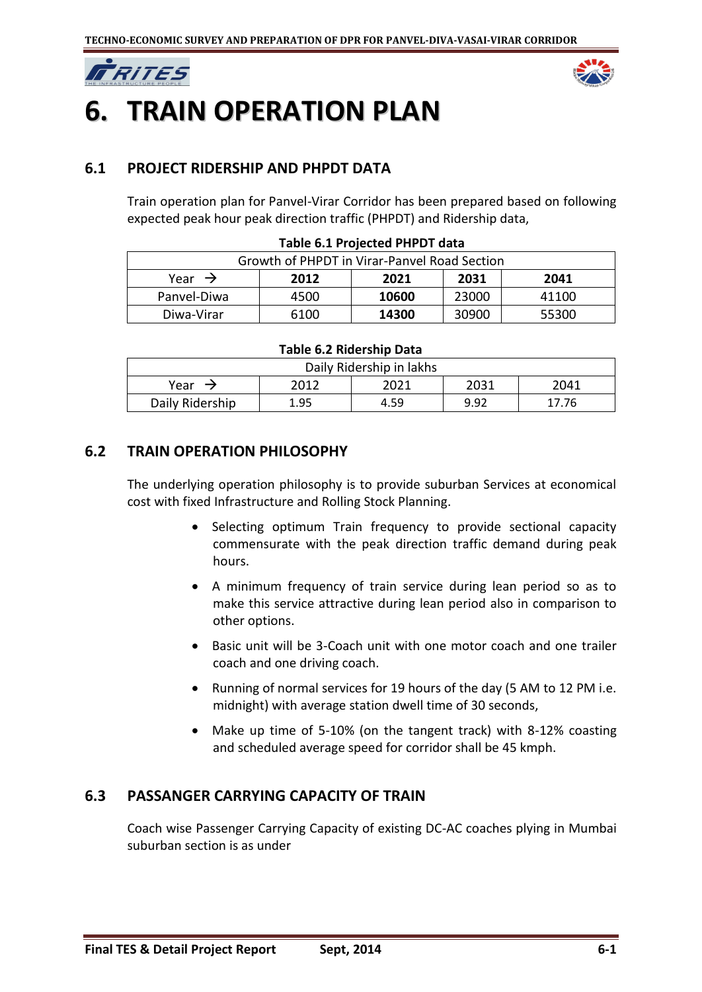



# **6. TRAIN OPERATION PLAN**

# **6.1 PROJECT RIDERSHIP AND PHPDT DATA**

Train operation plan for Panvel-Virar Corridor has been prepared based on following expected peak hour peak direction traffic (PHPDT) and Ridership data,

| Growth of PHPDT in Virar-Panyel Road Section       |      |       |       |       |  |  |
|----------------------------------------------------|------|-------|-------|-------|--|--|
| Year $\rightarrow$<br>2031<br>2041<br>2021<br>2012 |      |       |       |       |  |  |
| Panvel-Diwa                                        | 4500 | 10600 | 23000 | 41100 |  |  |
| Diwa-Virar                                         | 6100 | 14300 | 30900 | 55300 |  |  |

#### **Table 6.1 Projected PHPDT data**

#### **Table 6.2 Ridership Data**

| Daily Ridership in lakhs             |      |      |      |       |  |  |
|--------------------------------------|------|------|------|-------|--|--|
| 2031<br>2021<br>2012<br>2041<br>Year |      |      |      |       |  |  |
| Daily Ridership                      | 1.95 | 4.59 | 9.92 | 17.76 |  |  |

# **6.2 TRAIN OPERATION PHILOSOPHY**

The underlying operation philosophy is to provide suburban Services at economical cost with fixed Infrastructure and Rolling Stock Planning.

- Selecting optimum Train frequency to provide sectional capacity commensurate with the peak direction traffic demand during peak hours.
- A minimum frequency of train service during lean period so as to make this service attractive during lean period also in comparison to other options.
- Basic unit will be 3-Coach unit with one motor coach and one trailer coach and one driving coach.
- Running of normal services for 19 hours of the day (5 AM to 12 PM i.e. midnight) with average station dwell time of 30 seconds,
- Make up time of 5-10% (on the tangent track) with 8-12% coasting and scheduled average speed for corridor shall be 45 kmph.

# **6.3 PASSANGER CARRYING CAPACITY OF TRAIN**

Coach wise Passenger Carrying Capacity of existing DC-AC coaches plying in Mumbai suburban section is as under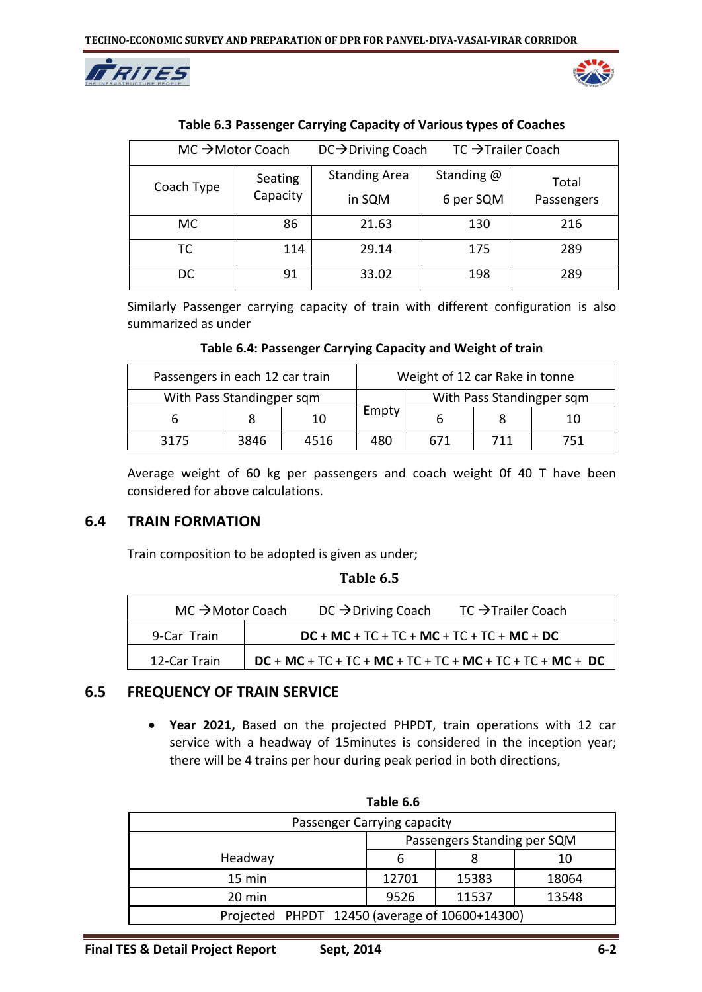



| $MC \rightarrow Motor$ Coach |          | $DC \rightarrow$ Driving Coach | $TC \rightarrow$ Trailer Coach |            |
|------------------------------|----------|--------------------------------|--------------------------------|------------|
| Coach Type                   | Seating  | <b>Standing Area</b>           | Standing $@$                   | Total      |
|                              | Capacity | in SQM                         | 6 per SQM                      | Passengers |
| MC.                          | 86       | 21.63                          | 130                            | 216        |
| ТC                           | 114      | 29.14                          | 175                            | 289        |
| DC                           | 91       | 33.02                          | 198                            | 289        |

#### **Table 6.3 Passenger Carrying Capacity of Various types of Coaches**

Similarly Passenger carrying capacity of train with different configuration is also summarized as under

**Table 6.4: Passenger Carrying Capacity and Weight of train**

| Passengers in each 12 car train |      |      |       | Weight of 12 car Rake in tonne |     |                           |
|---------------------------------|------|------|-------|--------------------------------|-----|---------------------------|
| With Pass Standingper sqm       |      |      |       |                                |     | With Pass Standingper sqm |
|                                 |      | 10   | Empty |                                |     | 10                        |
| 3175                            | 3846 | 4516 | 480   | 671                            | 711 | 751                       |

Average weight of 60 kg per passengers and coach weight 0f 40 T have been considered for above calculations.

# **6.4 TRAIN FORMATION**

Train composition to be adopted is given as under;

| Table 6.5 |  |
|-----------|--|
|-----------|--|

| $MC \rightarrow$ Motor Coach | DC $\rightarrow$ Driving Coach               | $TC \rightarrow$ Trailer Coach                                   |
|------------------------------|----------------------------------------------|------------------------------------------------------------------|
| 9-Car Train                  | $DC + MC + TC + TC + MC + TC + TC + MC + DC$ |                                                                  |
| 12-Car Train                 |                                              | $DC + MC + TC + TC + MC + TC + TC + MC + TC + TC + MC + DC + DC$ |

#### **6.5 FREQUENCY OF TRAIN SERVICE**

 **Year 2021,** Based on the projected PHPDT, train operations with 12 car service with a headway of 15minutes is considered in the inception year; there will be 4 trains per hour during peak period in both directions,

| Table 6.6                                      |                             |       |       |  |  |
|------------------------------------------------|-----------------------------|-------|-------|--|--|
| Passenger Carrying capacity                    |                             |       |       |  |  |
|                                                | Passengers Standing per SQM |       |       |  |  |
| Headway                                        | 6                           | 8     | 10    |  |  |
| $15 \text{ min}$                               | 12701                       | 15383 | 18064 |  |  |
| 20 min                                         | 9526                        | 11537 | 13548 |  |  |
| Projected PHPDT 12450 (average of 10600+14300) |                             |       |       |  |  |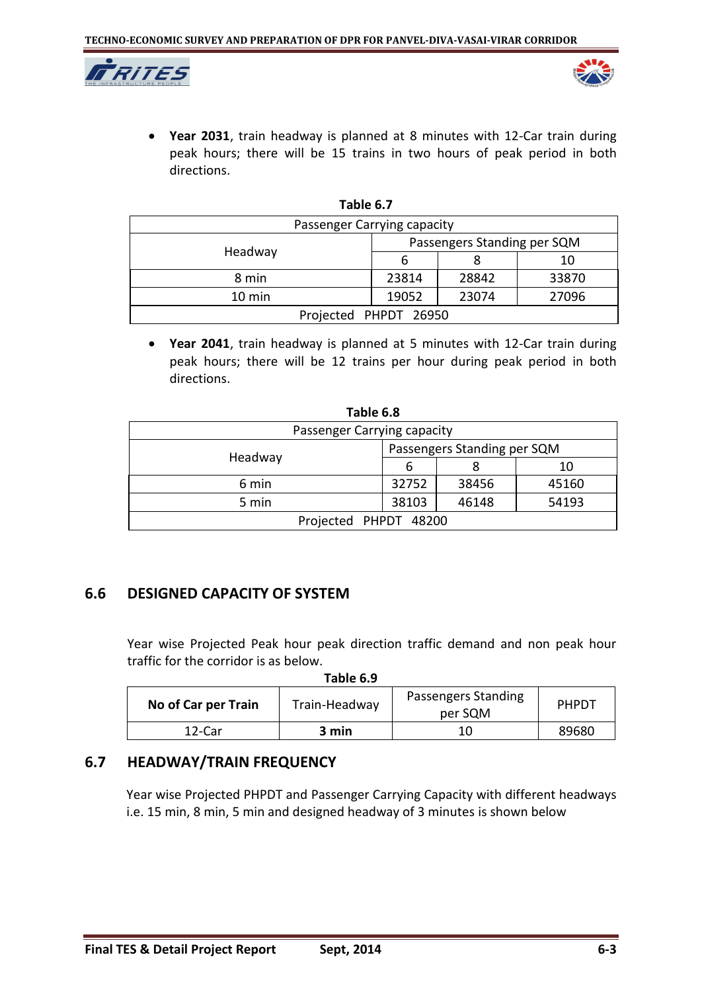



 **Year 2031**, train headway is planned at 8 minutes with 12-Car train during peak hours; there will be 15 trains in two hours of peak period in both directions.

| Passenger Carrying capacity |                             |       |       |  |
|-----------------------------|-----------------------------|-------|-------|--|
|                             | Passengers Standing per SQM |       |       |  |
| Headway                     |                             |       | 10    |  |
| 8 min                       | 23814                       | 28842 | 33870 |  |
| $10 \text{ min}$            | 19052                       | 23074 | 27096 |  |
| Projected PHPDT 26950       |                             |       |       |  |

**Table 6.7**

 **Year 2041**, train headway is planned at 5 minutes with 12-Car train during peak hours; there will be 12 trains per hour during peak period in both directions.

| rable 6.8                   |                             |       |       |  |  |
|-----------------------------|-----------------------------|-------|-------|--|--|
| Passenger Carrying capacity |                             |       |       |  |  |
|                             | Passengers Standing per SQM |       |       |  |  |
| Headway                     | b                           |       | 10    |  |  |
| 6 min                       | 32752                       | 38456 | 45160 |  |  |
| 5 min                       | 38103                       | 46148 | 54193 |  |  |
| Projected PHPDT 48200       |                             |       |       |  |  |

**Table 6.8**

# **6.6 DESIGNED CAPACITY OF SYSTEM**

Year wise Projected Peak hour peak direction traffic demand and non peak hour traffic for the corridor is as below.

**Table 6.9**

| No of Car per Train | Train-Headway | Passengers Standing<br>per SQM | PHPDT |
|---------------------|---------------|--------------------------------|-------|
| 12-Car              | 3 min         |                                | 89680 |

# **6.7 HEADWAY/TRAIN FREQUENCY**

Year wise Projected PHPDT and Passenger Carrying Capacity with different headways i.e. 15 min, 8 min, 5 min and designed headway of 3 minutes is shown below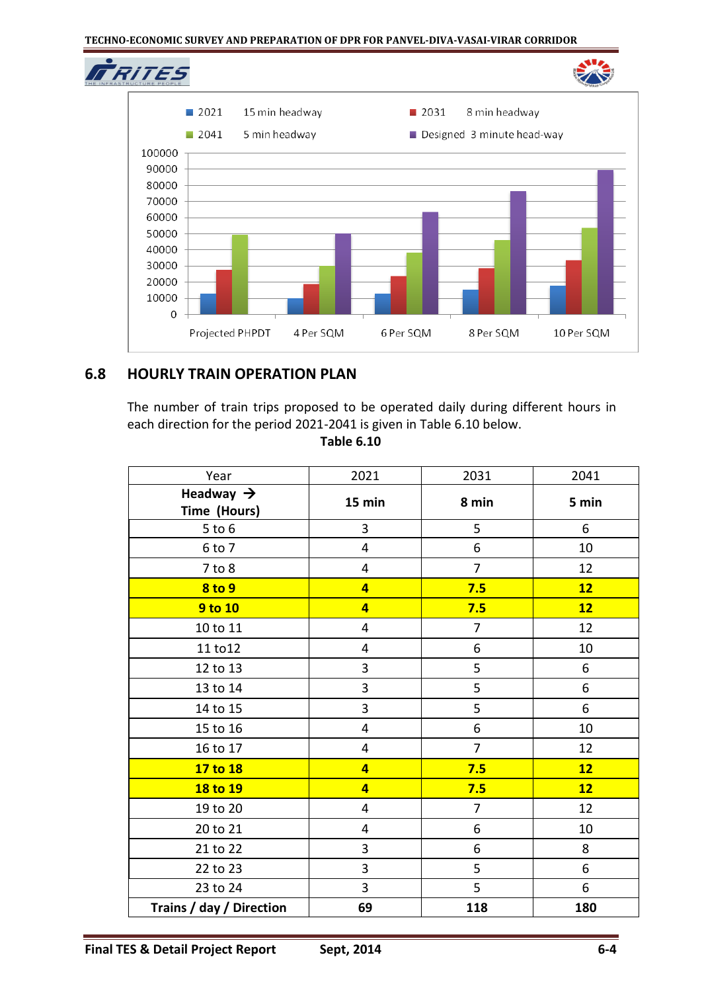#### **TECHNO-ECONOMIC SURVEY AND PREPARATION OF DPR FOR PANVEL-DIVA-VASAI-VIRAR CORRIDOR**



# **6.8 HOURLY TRAIN OPERATION PLAN**

The number of train trips proposed to be operated daily during different hours in each direction for the period 2021-2041 is given in Table 6.10 below.

**Table 6.10**

| Year                                  | 2021                    | 2031           | 2041  |
|---------------------------------------|-------------------------|----------------|-------|
| Headway $\rightarrow$<br>Time (Hours) | 15 min                  | 8 min          | 5 min |
| $5$ to $6$                            | 3                       | 5              | 6     |
| 6 to 7                                | 4                       | 6              | 10    |
| $7$ to $8$                            | 4                       | $\overline{7}$ | 12    |
| <b>8 to 9</b>                         | $\overline{\mathbf{4}}$ | 7.5            | 12    |
| 9 to 10                               | $\overline{4}$          | 7.5            | 12    |
| 10 to 11                              | 4                       | $\overline{7}$ | 12    |
| 11 to 12                              | 4                       | 6              | 10    |
| 12 to 13                              | 3                       | 5              | $6\,$ |
| 13 to 14                              | 3                       | 5              | 6     |
| 14 to 15                              | 3                       | 5              | 6     |
| 15 to 16                              | $\overline{\mathbf{4}}$ | 6              | 10    |
| 16 to 17                              | 4                       | $\overline{7}$ | 12    |
| 17 to 18                              | $\overline{\mathbf{4}}$ | 7.5            | 12    |
| 18 to 19                              | $\overline{\mathbf{4}}$ | 7.5            | 12    |
| 19 to 20                              | 4                       | $\overline{7}$ | 12    |
| 20 to 21                              | 4                       | 6              | 10    |
| 21 to 22                              | 3                       | 6              | 8     |
| 22 to 23                              | 3                       | 5              | 6     |
| 23 to 24                              | $\overline{3}$          | 5              | 6     |
| Trains / day / Direction              | 69                      | 118            | 180   |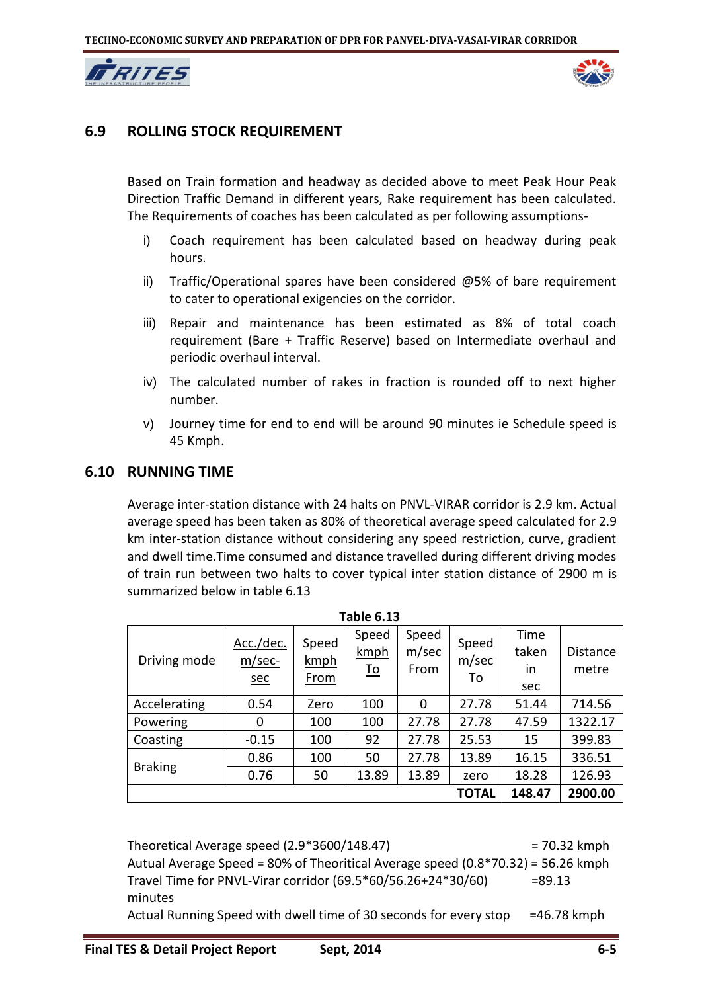



#### **6.9 ROLLING STOCK REQUIREMENT**

Based on Train formation and headway as decided above to meet Peak Hour Peak Direction Traffic Demand in different years, Rake requirement has been calculated. The Requirements of coaches has been calculated as per following assumptions-

- i) Coach requirement has been calculated based on headway during peak hours.
- ii) Traffic/Operational spares have been considered @5% of bare requirement to cater to operational exigencies on the corridor.
- iii) Repair and maintenance has been estimated as 8% of total coach requirement (Bare + Traffic Reserve) based on Intermediate overhaul and periodic overhaul interval.
- iv) The calculated number of rakes in fraction is rounded off to next higher number.
- v) Journey time for end to end will be around 90 minutes ie Schedule speed is 45 Kmph.

#### **6.10 RUNNING TIME**

Average inter-station distance with 24 halts on PNVL-VIRAR corridor is 2.9 km. Actual average speed has been taken as 80% of theoretical average speed calculated for 2.9 km inter-station distance without considering any speed restriction, curve, gradient and dwell time.Time consumed and distance travelled during different driving modes of train run between two halts to cover typical inter station distance of 2900 m is summarized below in table 6.13

| <b>Table 6.13</b> |                                     |                              |                            |                        |                      |                            |                   |  |
|-------------------|-------------------------------------|------------------------------|----------------------------|------------------------|----------------------|----------------------------|-------------------|--|
| Driving mode      | Acc./dec.<br>$m/sec-$<br><u>sec</u> | Speed<br>kmph<br><u>From</u> | Speed<br>kmph<br><u>To</u> | Speed<br>m/sec<br>From | Speed<br>m/sec<br>То | Time<br>taken<br>in<br>sec | Distance<br>metre |  |
| Accelerating      | 0.54                                | Zero                         | 100                        | 0                      | 27.78                | 51.44                      | 714.56            |  |
| Powering          | 0                                   | 100                          | 100                        | 27.78                  | 27.78                | 47.59                      | 1322.17           |  |
| Coasting          | $-0.15$                             | 100                          | 92                         | 27.78                  | 25.53                | 15                         | 399.83            |  |
|                   | 0.86                                | 100                          | 50                         | 27.78                  | 13.89                | 16.15                      | 336.51            |  |
| <b>Braking</b>    | 0.76                                | 50                           | 13.89                      | 13.89                  | zero                 | 18.28                      | 126.93            |  |
|                   | 2900.00<br>148.47<br>TOTAL          |                              |                            |                        |                      |                            |                   |  |

Theoretical Average speed  $(2.9*3600/148.47)$  = 70.32 kmph Autual Average Speed = 80% of Theoritical Average speed (0.8\*70.32) = 56.26 kmph Travel Time for PNVL-Virar corridor  $(69.5 * 60/56.26 + 24 * 30/60)$  =89.13 minutes

Actual Running Speed with dwell time of 30 seconds for every stop  $=46.78$  kmph